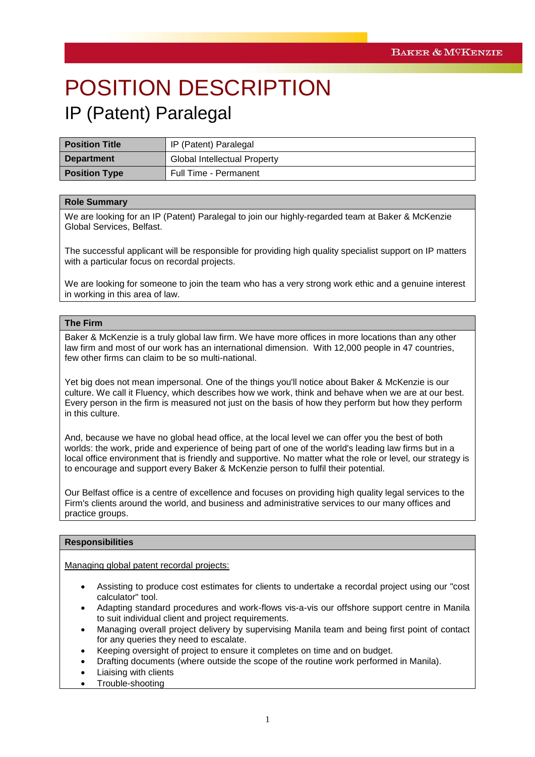# POSITION DESCRIPTION IP (Patent) Paralegal

| <b>Position Title</b> | IP (Patent) Paralegal               |
|-----------------------|-------------------------------------|
| <b>Department</b>     | <b>Global Intellectual Property</b> |
| <b>Position Type</b>  | Full Time - Permanent               |

## **Role Summary**

We are looking for an IP (Patent) Paralegal to join our highly-regarded team at Baker & McKenzie Global Services, Belfast.

The successful applicant will be responsible for providing high quality specialist support on IP matters with a particular focus on recordal projects.

We are looking for someone to join the team who has a very strong work ethic and a genuine interest in working in this area of law.

## **The Firm**

Baker & McKenzie is a truly global law firm. We have more offices in more locations than any other law firm and most of our work has an international dimension. With 12,000 people in 47 countries, few other firms can claim to be so multi-national.

Yet big does not mean impersonal. One of the things you'll notice about Baker & McKenzie is our culture. We call it Fluency, which describes how we work, think and behave when we are at our best. Every person in the firm is measured not just on the basis of how they perform but how they perform in this culture.

And, because we have no global head office, at the local level we can offer you the best of both worlds: the work, pride and experience of being part of one of the world's leading law firms but in a local office environment that is friendly and supportive. No matter what the role or level, our strategy is to encourage and support every Baker & McKenzie person to fulfil their potential.

Our Belfast office is a centre of excellence and focuses on providing high quality legal services to the Firm's clients around the world, and business and administrative services to our many offices and practice groups.

## **Responsibilities**

Managing global patent recordal projects:

- Assisting to produce cost estimates for clients to undertake a recordal project using our "cost calculator" tool.
- Adapting standard procedures and work-flows vis-a-vis our offshore support centre in Manila to suit individual client and project requirements.
- Managing overall project delivery by supervising Manila team and being first point of contact for any queries they need to escalate.
- Keeping oversight of project to ensure it completes on time and on budget.
- Drafting documents (where outside the scope of the routine work performed in Manila).
- Liaising with clients
- Trouble-shooting